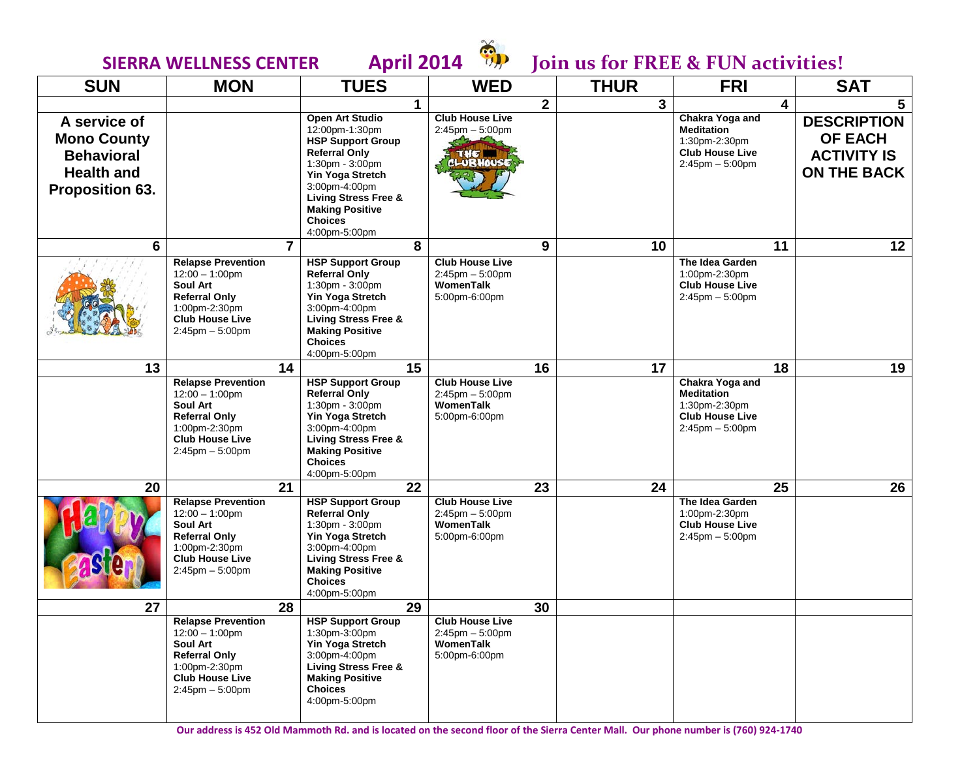

# **SIERRA WELLNESS CENTER April 2014 b** Join us for FREE & FUN activities!

| <b>SUN</b>                                                                                             | <b>MON</b>                                                                                                                                                   | <b>TUES</b>                                                                                                                                                                                                                                   | <b>WED</b>                                                                    | <b>THUR</b> | <b>FRI</b>                                                                                              | <b>SAT</b>                                                                       |
|--------------------------------------------------------------------------------------------------------|--------------------------------------------------------------------------------------------------------------------------------------------------------------|-----------------------------------------------------------------------------------------------------------------------------------------------------------------------------------------------------------------------------------------------|-------------------------------------------------------------------------------|-------------|---------------------------------------------------------------------------------------------------------|----------------------------------------------------------------------------------|
|                                                                                                        |                                                                                                                                                              | 1                                                                                                                                                                                                                                             | $\mathbf{2}$                                                                  | 3           | 4                                                                                                       | 5.                                                                               |
| A service of<br><b>Mono County</b><br><b>Behavioral</b><br><b>Health and</b><br><b>Proposition 63.</b> |                                                                                                                                                              | Open Art Studio<br>12:00pm-1:30pm<br><b>HSP Support Group</b><br><b>Referral Only</b><br>1:30pm - 3:00pm<br>Yin Yoga Stretch<br>3:00pm-4:00pm<br><b>Living Stress Free &amp;</b><br><b>Making Positive</b><br><b>Choices</b><br>4:00pm-5:00pm | <b>Club House Live</b><br>$2:45$ pm $-5:00$ pm<br>THE <b>THE</b><br>CLUBHOUSE |             | Chakra Yoga and<br><b>Meditation</b><br>1:30pm-2:30pm<br><b>Club House Live</b><br>$2:45$ pm $-5:00$ pm | <b>DESCRIPTION</b><br><b>OF EACH</b><br><b>ACTIVITY IS</b><br><b>ON THE BACK</b> |
| 6                                                                                                      |                                                                                                                                                              | 8<br>7                                                                                                                                                                                                                                        | 9                                                                             | 10          | 11                                                                                                      | 12                                                                               |
|                                                                                                        | <b>Relapse Prevention</b><br>$12:00 - 1:00$ pm<br>Soul Art<br><b>Referral Only</b><br>1:00pm-2:30pm<br><b>Club House Live</b><br>$2:45$ pm $-5:00$ pm        | <b>HSP Support Group</b><br><b>Referral Only</b><br>1:30pm - 3:00pm<br><b>Yin Yoga Stretch</b><br>3:00pm-4:00pm<br><b>Living Stress Free &amp;</b><br><b>Making Positive</b><br><b>Choices</b><br>4:00pm-5:00pm                               | <b>Club House Live</b><br>$2:45$ pm $-5:00$ pm<br>WomenTalk<br>5:00pm-6:00pm  |             | The Idea Garden<br>1:00pm-2:30pm<br><b>Club House Live</b><br>$2:45$ pm $-5:00$ pm                      |                                                                                  |
| 13                                                                                                     |                                                                                                                                                              | 15<br>14                                                                                                                                                                                                                                      | 16                                                                            | 17          | 18                                                                                                      | 19                                                                               |
|                                                                                                        | <b>Relapse Prevention</b><br>$12:00 - 1:00$ pm<br><b>Soul Art</b><br><b>Referral Only</b><br>1:00pm-2:30pm<br><b>Club House Live</b><br>$2:45$ pm $-5:00$ pm | <b>HSP Support Group</b><br><b>Referral Only</b><br>1:30pm - 3:00pm<br><b>Yin Yoga Stretch</b><br>3:00pm-4:00pm<br><b>Living Stress Free &amp;</b><br><b>Making Positive</b><br><b>Choices</b><br>4:00pm-5:00pm                               | <b>Club House Live</b><br>$2:45$ pm $-5:00$ pm<br>WomenTalk<br>5:00pm-6:00pm  |             | Chakra Yoga and<br><b>Meditation</b><br>1:30pm-2:30pm<br><b>Club House Live</b><br>$2:45$ pm $-5:00$ pm |                                                                                  |
| 20                                                                                                     |                                                                                                                                                              | 22<br>21                                                                                                                                                                                                                                      | 23                                                                            | 24          | 25                                                                                                      | 26                                                                               |
|                                                                                                        | <b>Relapse Prevention</b><br>$12:00 - 1:00$ pm<br>Soul Art<br><b>Referral Only</b><br>1:00pm-2:30pm<br><b>Club House Live</b><br>$2:45$ pm $-5:00$ pm        | <b>HSP Support Group</b><br><b>Referral Only</b><br>1:30pm - 3:00pm<br><b>Yin Yoga Stretch</b><br>3:00pm-4:00pm<br><b>Living Stress Free &amp;</b><br><b>Making Positive</b><br><b>Choices</b><br>4:00pm-5:00pm                               | <b>Club House Live</b><br>$2:45$ pm $-5:00$ pm<br>WomenTalk<br>5:00pm-6:00pm  |             | The Idea Garden<br>1:00pm-2:30pm<br><b>Club House Live</b><br>$2:45$ pm $-5:00$ pm                      |                                                                                  |
| 27                                                                                                     |                                                                                                                                                              | 28<br>29                                                                                                                                                                                                                                      | 30                                                                            |             |                                                                                                         |                                                                                  |
|                                                                                                        | <b>Relapse Prevention</b><br>$12:00 - 1:00$ pm<br><b>Soul Art</b><br><b>Referral Only</b><br>1:00pm-2:30pm<br><b>Club House Live</b><br>$2:45$ pm $-5:00$ pm | <b>HSP Support Group</b><br>1:30pm-3:00pm<br>Yin Yoga Stretch<br>3:00pm-4:00pm<br><b>Living Stress Free &amp;</b><br><b>Making Positive</b><br><b>Choices</b><br>4:00pm-5:00pm                                                                | <b>Club House Live</b><br>$2:45$ pm $-5:00$ pm<br>WomenTalk<br>5:00pm-6:00pm  |             |                                                                                                         |                                                                                  |